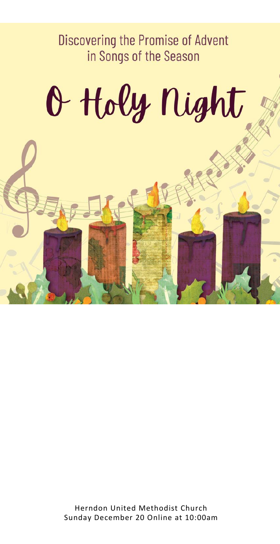**Discovering the Promise of Advent** in Songs of the Season

# O Holy Night

Herndon United Methodist Church Sunday December 20 Online at 10:00am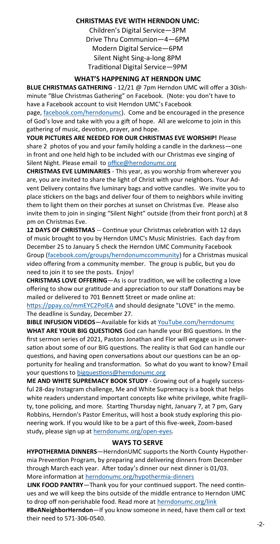#### **CHRISTMAS EVE WITH HERNDON UMC:**

Children's Digital Service—3PM Drive Thru Communion—4—6PM Modern Digital Service—6PM Silent Night Sing-a-long 8PM Traditional Digital Service—9PM

#### **WHAT'S HAPPENING AT HERNDON UMC**

**BLUE CHRISTMAS GATHERING** - 12/21 @ 7pm Herndon UMC will offer a 30ishminute "Blue Christmas Gathering" on Facebook. (Note: you don't have to have a Facebook account to visit Herndon UMC's Facebook

page, [facebook.com/herndonumc\).](https://herndonumc.us2.list-manage.com/track/click?u=70ea4a1cbac00544811ffd83e&id=e5595d8b4f&e=ef94744795) Come and be encouraged in the presence of God's love and take with you a gift of hope. All are welcome to join in this gathering of music, devotion, prayer, and hope.

**YOUR PICTURES ARE NEEDED FOR OUR CHRISTMAS EVE WORSHIP!** Please share 2 photos of you and your family holding a candle in the darkness—one in front and one held high to be included with our Christmas eve singing of Silent Night. Please email to [office@herndonumc.org](mailto:office@herndonumc.org)

**CHRISTMAS EVE LUMINARIES** - This year, as you worship from wherever you are, you are invited to share the light of Christ with your neighbors. Your Advent Delivery contains five luminary bags and votive candles. We invite you to place stickers on the bags and deliver four of them to neighbors while inviting them to light them on their porches at sunset on Christmas Eve. Please also invite them to join in singing "Silent Night" outside (from their front porch) at 8 pm on Christmas Eve.

**12 DAYS OF CHRISTMAS** -- Continue your Christmas celebration with 12 days of music brought to you by Herndon UMC's Music Ministries. Each day from December 25 to January 5 check the Herndon UMC Community Facebook Group ([facebook.com/groups/herndonumccommunity\)](https://herndonumc.us2.list-manage.com/track/click?u=70ea4a1cbac00544811ffd83e&id=158a5a0d6b&e=ef94744795) for a Christmas musical video offering from a community member. The group is public, but you do need to join it to see the posts. Enjoy!

**CHRISTMAS LOVE OFFERING**—As is our tradition, we will be collecting a love offering to show our gratitude and appreciation to our staff Donations may be mailed or delivered to 701 Bennett Street or made online at:

<https://ppay.co/mmEYC2PolEA> and should designate "LOVE" in the memo. The deadline is Sunday, December 27.

**BIBLE INFUSION VIDEOS**—Available for kids at [YouTube.com/herndonumc](https://www.youtube.com/watch?v=VGI5zm6YWvQ&list=PLQPwQ7exlOlrB8xmH-iwjH6ZIQODkoAmxC:/Users/Office/Documents/3%20on%203) **WHAT ARE YOUR BIG QUESTIONS** God can handle your BIG questions. In the first sermon series of 2021, Pastors Jonathan and Flor will engage us in conversation about some of our BIG questions. The reality is that God can handle our questions, and having open conversations about our questions can be an opportunity for healing and transformation. So what do you want to know? Email your questions to [bigquestions@herndonumc.org](mailto:bigquestions@herndonumc.org)

**ME AND WHITE SUPREMACY BOOK STUDY** - Growing out of a hugely successful 28-day Instagram challenge, Me and White Supremacy is a book that helps white readers understand important concepts like white privilege, white fragility, tone policing, and more. Starting Thursday night, January 7, at 7 pm, Gary Robbins, Herndon's Pastor Emeritus, will host a book study exploring this pioneering work. If you would like to be a part of this five-week, Zoom-based study, please sign up at [herndonumc.org/open](https://herndonumc.us2.list-manage.com/track/click?u=70ea4a1cbac00544811ffd83e&id=8cb83e175e&e=ef94744795)-eyes.

#### **WAYS TO SERVE**

**HYPOTHERMIA DINNERS**—HerndonUMC supports the North County Hypothermia Prevention Program, by preparing and delivering dinners from December through March each year. After today's dinner our next dinner is 01/03. More information at [herndonumc.org/hypothermia](https://herndonumc.org/hypothermia-dinners/)-dinners

**LINK FOOD PANTRY**—Thank you for your continued support. The need continues and we will keep the bins outside of the middle entrance to Herndon UMC to drop off non-perishable food. Read more at [herndonumc.org/link](http://herndonumc.org/link)

**#BeANeighborHerndon**—If you know someone in need, have them call or text their need to 571-306-0540.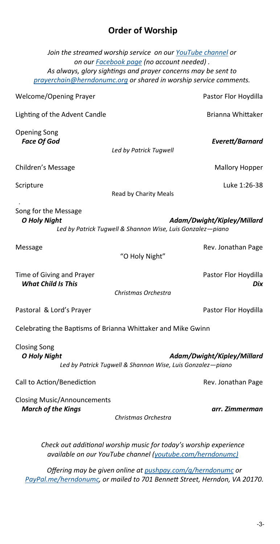## **Order of Worship**

*Join the streamed worship service on our [YouTube channel](https://www.youtube.com/channel/UCbOsZ1We_dXySNASkVYgmrQ/) or on our [Facebook page](http://facebook.com/herndonumc) (no account needed) . As always, glory sightings and prayer concerns may be sent to [prayerchain@herndonumc.org](mailto:prayerchain@herndonumc.org) or shared in worship service comments.*

| Welcome/Opening Prayer                                          | Pastor Flor Hoydilla                                                                     |
|-----------------------------------------------------------------|------------------------------------------------------------------------------------------|
| Lighting of the Advent Candle                                   | Brianna Whittaker                                                                        |
| <b>Opening Song</b><br><b>Face Of God</b>                       | Everett/Barnard<br>Led by Patrick Tugwell                                                |
| Children's Message                                              | <b>Mallory Hopper</b>                                                                    |
| Scripture                                                       | Luke 1:26-38<br>Read by Charity Meals                                                    |
| Song for the Message<br><b>O Holy Night</b>                     | Adam/Dwight/Kipley/Millard<br>Led by Patrick Tugwell & Shannon Wise, Luis Gonzalez-piano |
| Message                                                         | Rev. Jonathan Page<br>"O Holy Night"                                                     |
| Time of Giving and Prayer<br><b>What Child Is This</b>          | Pastor Flor Hoydilla<br>Dix<br>Christmas Orchestra                                       |
| Pastoral & Lord's Prayer                                        | Pastor Flor Hoydilla                                                                     |
| Celebrating the Baptisms of Brianna Whittaker and Mike Gwinn    |                                                                                          |
| <b>Closing Song</b><br><b>O Holy Night</b>                      | Adam/Dwight/Kipley/Millard<br>Led by Patrick Tugwell & Shannon Wise, Luis Gonzalez-piano |
| Call to Action/Benediction                                      | Rev. Jonathan Page                                                                       |
| <b>Closing Music/Announcements</b><br><b>March of the Kings</b> | arr. Zimmerman<br>Christmas Orchestra                                                    |
|                                                                 |                                                                                          |

*Check out additional worship music for today's worship experience available on our YouTube channel ([youtube.com/herndonumc\)](https://www.youtube.com/herndonumc)*

*Offering may be given online at [pushpay.com/g/herndonumc](https://pushpay.com/g/herndonumc) or [PayPal.me/herndonumc,](http://paypal.me/herndonumc) or mailed to 701 Bennett Street, Herndon, VA 20170.*